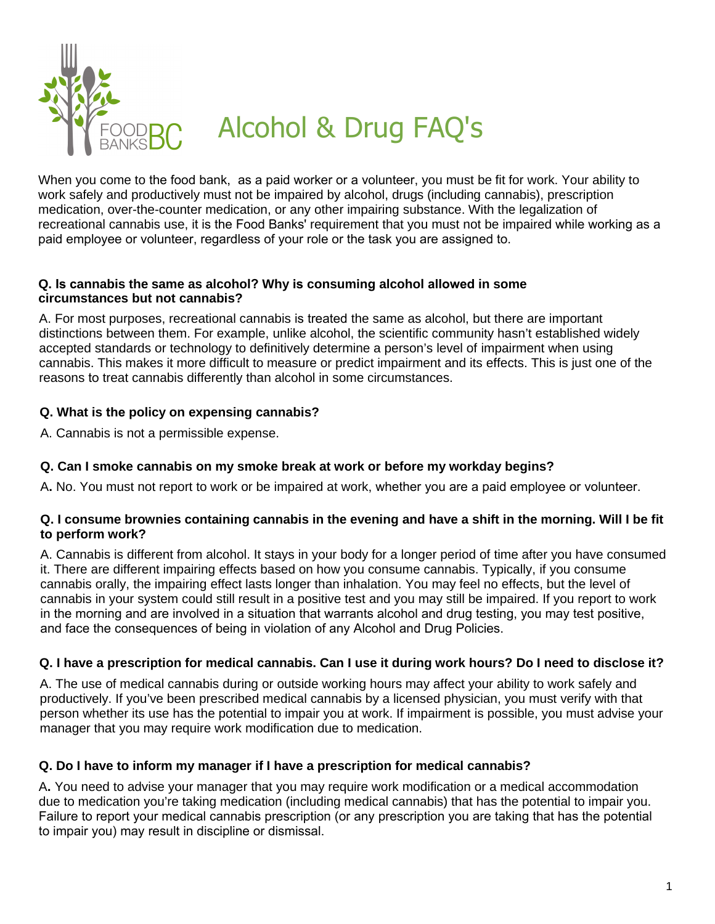

When you come to the food bank, as a paid worker or a volunteer, you must be fit for work. Your ability to work safely and productively must not be impaired by alcohol, drugs (including cannabis), prescription medication, over-the-counter medication, or any other impairing substance. With the legalization of recreational cannabis use, it is the Food Banks' requirement that you must not be impaired while working as a paid employee or volunteer, regardless of your role or the task you are assigned to.

### **Q. Is cannabis the same as alcohol? Why is consuming alcohol allowed in some circumstances but not cannabis?**

A. For most purposes, recreational cannabis is treated the same as alcohol, but there are important distinctions between them. For example, unlike alcohol, the scientific community hasn't established widely accepted standards or technology to definitively determine a person's level of impairment when using cannabis. This makes it more difficult to measure or predict impairment and its effects. This is just one of the reasons to treat cannabis differently than alcohol in some circumstances.

## **Q. What is the policy on expensing cannabis?**

A. Cannabis is not a permissible expense.

# **Q. Can I smoke cannabis on my smoke break at work or before my workday begins?**

A**.** No. You must not report to work or be impaired at work, whether you are a paid employee or volunteer.

### **Q. I consume brownies containing cannabis in the evening and have a shift in the morning. Will I be fit to perform work?**

A. Cannabis is different from alcohol. It stays in your body for a longer period of time after you have consumed it. There are different impairing effects based on how you consume cannabis. Typically, if you consume cannabis orally, the impairing effect lasts longer than inhalation. You may feel no effects, but the level of cannabis in your system could still result in a positive test and you may still be impaired. If you report to work in the morning and are involved in a situation that warrants alcohol and drug testing, you may test positive, and face the consequences of being in violation of any Alcohol and Drug Policies.

### **Q. I have a prescription for medical cannabis. Can I use it during work hours? Do I need to disclose it?**

A. The use of medical cannabis during or outside working hours may affect your ability to work safely and productively. If you've been prescribed medical cannabis by a licensed physician, you must verify with that person whether its use has the potential to impair you at work. If impairment is possible, you must advise your manager that you may require work modification due to medication.

### **Q. Do I have to inform my manager if I have a prescription for medical cannabis?**

A**.** You need to advise your manager that you may require work modification or a medical accommodation due to medication you're taking medication (including medical cannabis) that has the potential to impair you. Failure to report your medical cannabis prescription (or any prescription you are taking that has the potential to impair you) may result in discipline or dismissal.